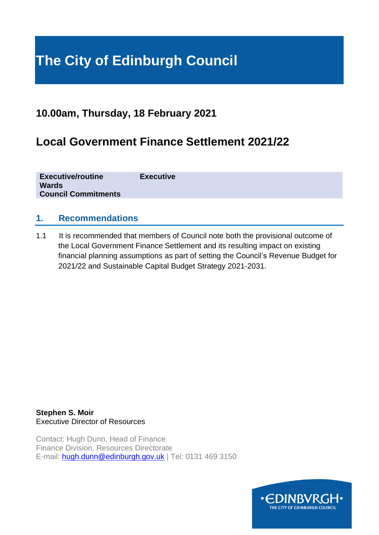# **The City of Edinburgh Council**

# **10.00am, Thursday, 18 February 2021**

# **Local Government Finance Settlement 2021/22**

**Executive/routine Executive Wards Council Commitments**

### **1. Recommendations**

1.1 It is recommended that members of Council note both the provisional outcome of the Local Government Finance Settlement and its resulting impact on existing financial planning assumptions as part of setting the Council's Revenue Budget for 2021/22 and Sustainable Capital Budget Strategy 2021-2031.

**Stephen S. Moir**  Executive Director of Resources

Contact: Hugh Dunn, Head of Finance Finance Division, Resources Directorate E-mail: [hugh.dunn@edinburgh.gov.uk](mailto:hugh.dunn@edinburgh.gov.uk) | Tel: 0131 469 3150

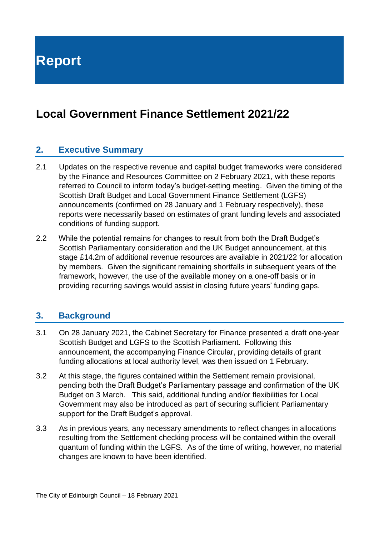**Report**

# **Local Government Finance Settlement 2021/22**

### **2. Executive Summary**

- 2.1 Updates on the respective revenue and capital budget frameworks were considered by the Finance and Resources Committee on 2 February 2021, with these reports referred to Council to inform today's budget-setting meeting. Given the timing of the Scottish Draft Budget and Local Government Finance Settlement (LGFS) announcements (confirmed on 28 January and 1 February respectively), these reports were necessarily based on estimates of grant funding levels and associated conditions of funding support.
- 2.2 While the potential remains for changes to result from both the Draft Budget's Scottish Parliamentary consideration and the UK Budget announcement, at this stage £14.2m of additional revenue resources are available in 2021/22 for allocation by members. Given the significant remaining shortfalls in subsequent years of the framework, however, the use of the available money on a one-off basis or in providing recurring savings would assist in closing future years' funding gaps.

#### **3. Background**

- 3.1 On 28 January 2021, the Cabinet Secretary for Finance presented a draft one-year Scottish Budget and LGFS to the Scottish Parliament. Following this announcement, the accompanying Finance Circular, providing details of grant funding allocations at local authority level, was then issued on 1 February.
- 3.2 At this stage, the figures contained within the Settlement remain provisional, pending both the Draft Budget's Parliamentary passage and confirmation of the UK Budget on 3 March. This said, additional funding and/or flexibilities for Local Government may also be introduced as part of securing sufficient Parliamentary support for the Draft Budget's approval.
- 3.3 As in previous years, any necessary amendments to reflect changes in allocations resulting from the Settlement checking process will be contained within the overall quantum of funding within the LGFS. As of the time of writing, however, no material changes are known to have been identified.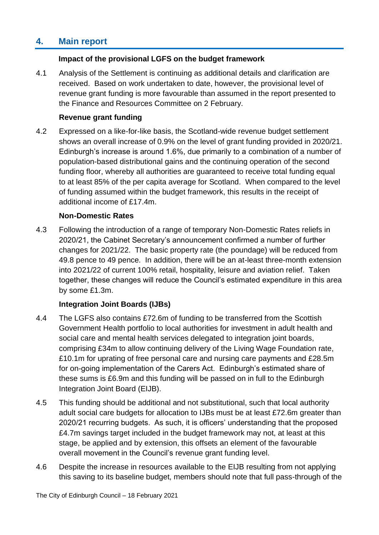# **4. Main report**

#### **Impact of the provisional LGFS on the budget framework**

4.1 Analysis of the Settlement is continuing as additional details and clarification are received. Based on work undertaken to date, however, the provisional level of revenue grant funding is more favourable than assumed in the report presented to the Finance and Resources Committee on 2 February.

#### **Revenue grant funding**

4.2 Expressed on a like-for-like basis, the Scotland-wide revenue budget settlement shows an overall increase of 0.9% on the level of grant funding provided in 2020/21. Edinburgh's increase is around 1.6%, due primarily to a combination of a number of population-based distributional gains and the continuing operation of the second funding floor, whereby all authorities are guaranteed to receive total funding equal to at least 85% of the per capita average for Scotland. When compared to the level of funding assumed within the budget framework, this results in the receipt of additional income of £17.4m.

#### **Non-Domestic Rates**

4.3 Following the introduction of a range of temporary Non-Domestic Rates reliefs in 2020/21, the Cabinet Secretary's announcement confirmed a number of further changes for 2021/22. The basic property rate (the poundage) will be reduced from 49.8 pence to 49 pence. In addition, there will be an at-least three-month extension into 2021/22 of current 100% retail, hospitality, leisure and aviation relief. Taken together, these changes will reduce the Council's estimated expenditure in this area by some £1.3m.

#### **Integration Joint Boards (IJBs)**

- 4.4 The LGFS also contains £72.6m of funding to be transferred from the Scottish Government Health portfolio to local authorities for investment in adult health and social care and mental health services delegated to integration joint boards, comprising £34m to allow continuing delivery of the Living Wage Foundation rate, £10.1m for uprating of free personal care and nursing care payments and £28.5m for on-going implementation of the Carers Act. Edinburgh's estimated share of these sums is £6.9m and this funding will be passed on in full to the Edinburgh Integration Joint Board (EIJB).
- 4.5 This funding should be additional and not substitutional, such that local authority adult social care budgets for allocation to IJBs must be at least £72.6m greater than 2020/21 recurring budgets. As such, it is officers' understanding that the proposed £4.7m savings target included in the budget framework may not, at least at this stage, be applied and by extension, this offsets an element of the favourable overall movement in the Council's revenue grant funding level.
- 4.6 Despite the increase in resources available to the EIJB resulting from not applying this saving to its baseline budget, members should note that full pass-through of the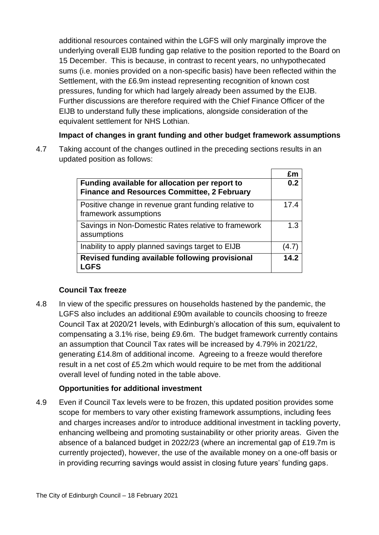additional resources contained within the LGFS will only marginally improve the underlying overall EIJB funding gap relative to the position reported to the Board on 15 December. This is because, in contrast to recent years, no unhypothecated sums (i.e. monies provided on a non-specific basis) have been reflected within the Settlement, with the £6.9m instead representing recognition of known cost pressures, funding for which had largely already been assumed by the EIJB. Further discussions are therefore required with the Chief Finance Officer of the EIJB to understand fully these implications, alongside consideration of the equivalent settlement for NHS Lothian.

#### **Impact of changes in grant funding and other budget framework assumptions**

4.7 Taking account of the changes outlined in the preceding sections results in an updated position as follows:

|                                                                                                      | £m    |
|------------------------------------------------------------------------------------------------------|-------|
| Funding available for allocation per report to<br><b>Finance and Resources Committee, 2 February</b> | 0.2   |
| Positive change in revenue grant funding relative to<br>framework assumptions                        | 17.4  |
| Savings in Non-Domestic Rates relative to framework<br>assumptions                                   | 1.3   |
| Inability to apply planned savings target to EIJB                                                    | (4.7) |
| Revised funding available following provisional<br><b>LGFS</b>                                       | 14.2  |

#### **Council Tax freeze**

4.8 In view of the specific pressures on households hastened by the pandemic, the LGFS also includes an additional £90m available to councils choosing to freeze Council Tax at 2020/21 levels, with Edinburgh's allocation of this sum, equivalent to compensating a 3.1% rise, being £9.6m. The budget framework currently contains an assumption that Council Tax rates will be increased by 4.79% in 2021/22, generating £14.8m of additional income. Agreeing to a freeze would therefore result in a net cost of £5.2m which would require to be met from the additional overall level of funding noted in the table above.

#### **Opportunities for additional investment**

4.9 Even if Council Tax levels were to be frozen, this updated position provides some scope for members to vary other existing framework assumptions, including fees and charges increases and/or to introduce additional investment in tackling poverty, enhancing wellbeing and promoting sustainability or other priority areas. Given the absence of a balanced budget in 2022/23 (where an incremental gap of £19.7m is currently projected), however, the use of the available money on a one-off basis or in providing recurring savings would assist in closing future years' funding gaps.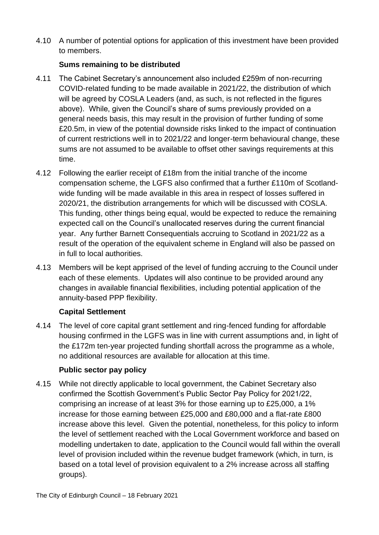4.10 A number of potential options for application of this investment have been provided to members.

#### **Sums remaining to be distributed**

- 4.11 The Cabinet Secretary's announcement also included £259m of non-recurring COVID-related funding to be made available in 2021/22, the distribution of which will be agreed by COSLA Leaders (and, as such, is not reflected in the figures above). While, given the Council's share of sums previously provided on a general needs basis, this may result in the provision of further funding of some £20.5m, in view of the potential downside risks linked to the impact of continuation of current restrictions well in to 2021/22 and longer-term behavioural change, these sums are not assumed to be available to offset other savings requirements at this time.
- 4.12 Following the earlier receipt of £18m from the initial tranche of the income compensation scheme, the LGFS also confirmed that a further £110m of Scotlandwide funding will be made available in this area in respect of losses suffered in 2020/21, the distribution arrangements for which will be discussed with COSLA. This funding, other things being equal, would be expected to reduce the remaining expected call on the Council's unallocated reserves during the current financial year. Any further Barnett Consequentials accruing to Scotland in 2021/22 as a result of the operation of the equivalent scheme in England will also be passed on in full to local authorities.
- 4.13 Members will be kept apprised of the level of funding accruing to the Council under each of these elements. Updates will also continue to be provided around any changes in available financial flexibilities, including potential application of the annuity-based PPP flexibility.

#### **Capital Settlement**

4.14 The level of core capital grant settlement and ring-fenced funding for affordable housing confirmed in the LGFS was in line with current assumptions and, in light of the £172m ten-year projected funding shortfall across the programme as a whole, no additional resources are available for allocation at this time.

#### **Public sector pay policy**

4.15 While not directly applicable to local government, the Cabinet Secretary also confirmed the Scottish Government's Public Sector Pay Policy for 2021/22, comprising an increase of at least 3% for those earning up to £25,000, a 1% increase for those earning between £25,000 and £80,000 and a flat-rate £800 increase above this level. Given the potential, nonetheless, for this policy to inform the level of settlement reached with the Local Government workforce and based on modelling undertaken to date, application to the Council would fall within the overall level of provision included within the revenue budget framework (which, in turn, is based on a total level of provision equivalent to a 2% increase across all staffing groups).